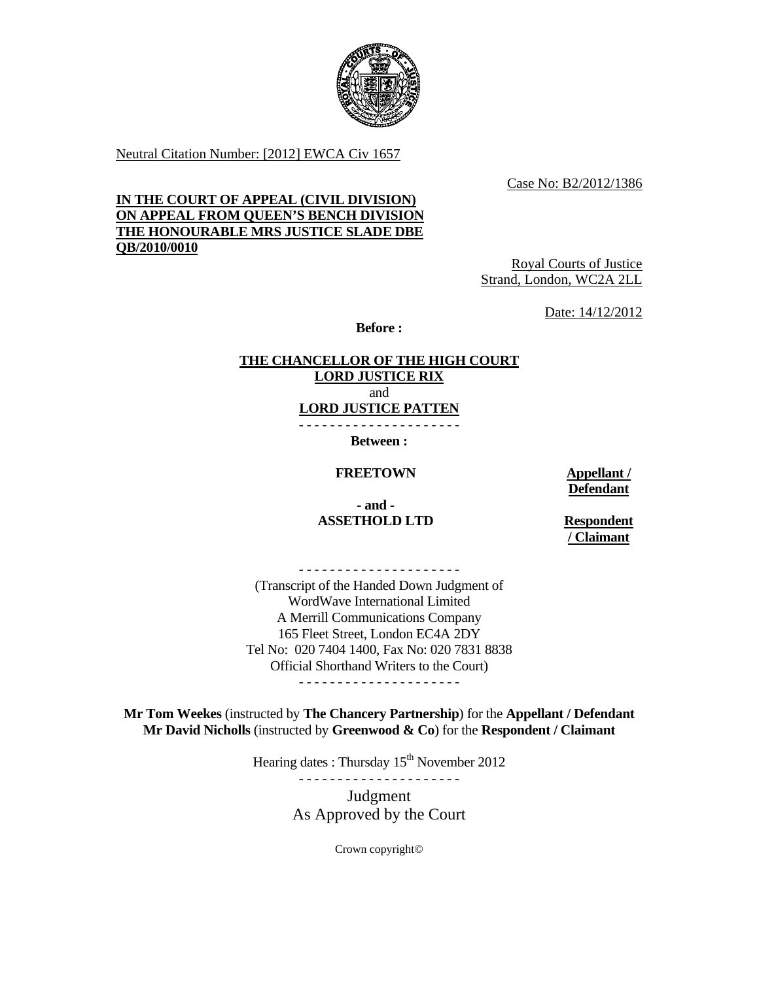

Neutral Citation Number: [2012] EWCA Civ 1657

Case No: B2/2012/1386

## **IN THE COURT OF APPEAL (CIVIL DIVISION) ON APPEAL FROM QUEEN'S BENCH DIVISION THE HONOURABLE MRS JUSTICE SLADE DBE QB/2010/0010**

Royal Courts of Justice Strand, London, WC2A 2LL

Date: 14/12/2012

**Before :** 

# **THE CHANCELLOR OF THE HIGH COURT LORD JUSTICE RIX**

and

**LORD JUSTICE PATTEN** - - - - - - - - - - - - - - - - - - - - -

**Between :** 

**FREETOWN** Appellant /

**Defendant**

 **- and - ASSETHOLD LTD Respondent** 

**/ Claimant**

- - - - - - - - - - - - - - - - - - - - -

(Transcript of the Handed Down Judgment of WordWave International Limited A Merrill Communications Company 165 Fleet Street, London EC4A 2DY Tel No: 020 7404 1400, Fax No: 020 7831 8838 Official Shorthand Writers to the Court) - - - - - - - - - - - - - - - - - - - - -

**Mr Tom Weekes** (instructed by **The Chancery Partnership**) for the **Appellant / Defendant Mr David Nicholls** (instructed by **Greenwood & Co**) for the **Respondent / Claimant**

Hearing dates : Thursday  $15<sup>th</sup>$  November 2012

- - - - - - - - - - - - - - - - - - - - -

Judgment As Approved by the Court

Crown copyright©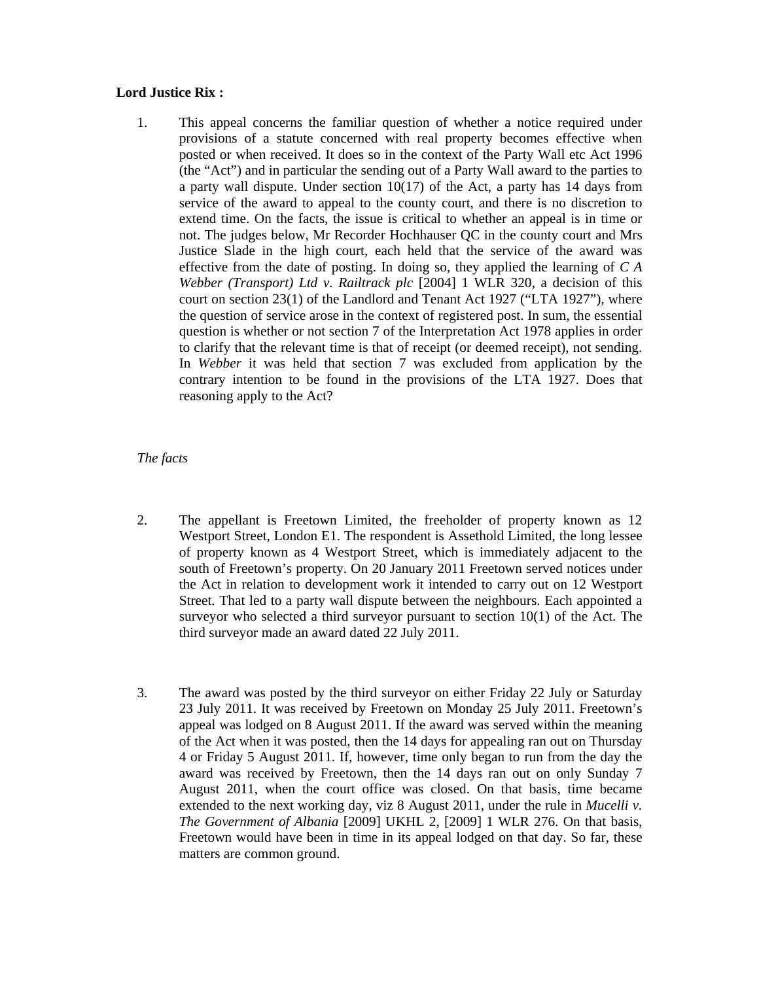## **Lord Justice Rix :**

1. This appeal concerns the familiar question of whether a notice required under provisions of a statute concerned with real property becomes effective when posted or when received. It does so in the context of the Party Wall etc Act 1996 (the "Act") and in particular the sending out of a Party Wall award to the parties to a party wall dispute. Under section  $10(17)$  of the Act, a party has 14 days from service of the award to appeal to the county court, and there is no discretion to extend time. On the facts, the issue is critical to whether an appeal is in time or not. The judges below, Mr Recorder Hochhauser QC in the county court and Mrs Justice Slade in the high court, each held that the service of the award was effective from the date of posting. In doing so, they applied the learning of *C A Webber (Transport) Ltd v. Railtrack plc* [2004] 1 WLR 320, a decision of this court on section 23(1) of the Landlord and Tenant Act 1927 ("LTA 1927"), where the question of service arose in the context of registered post. In sum, the essential question is whether or not section 7 of the Interpretation Act 1978 applies in order to clarify that the relevant time is that of receipt (or deemed receipt), not sending. In *Webber* it was held that section 7 was excluded from application by the contrary intention to be found in the provisions of the LTA 1927. Does that reasoning apply to the Act?

## *The facts*

- 2. The appellant is Freetown Limited, the freeholder of property known as 12 Westport Street, London E1. The respondent is Assethold Limited, the long lessee of property known as 4 Westport Street, which is immediately adjacent to the south of Freetown's property. On 20 January 2011 Freetown served notices under the Act in relation to development work it intended to carry out on 12 Westport Street. That led to a party wall dispute between the neighbours. Each appointed a surveyor who selected a third surveyor pursuant to section 10(1) of the Act. The third surveyor made an award dated 22 July 2011.
- 3. The award was posted by the third surveyor on either Friday 22 July or Saturday 23 July 2011. It was received by Freetown on Monday 25 July 2011. Freetown's appeal was lodged on 8 August 2011. If the award was served within the meaning of the Act when it was posted, then the 14 days for appealing ran out on Thursday 4 or Friday 5 August 2011. If, however, time only began to run from the day the award was received by Freetown, then the 14 days ran out on only Sunday 7 August 2011, when the court office was closed. On that basis, time became extended to the next working day, viz 8 August 2011, under the rule in *Mucelli v. The Government of Albania* [2009] UKHL 2, [2009] 1 WLR 276. On that basis, Freetown would have been in time in its appeal lodged on that day. So far, these matters are common ground.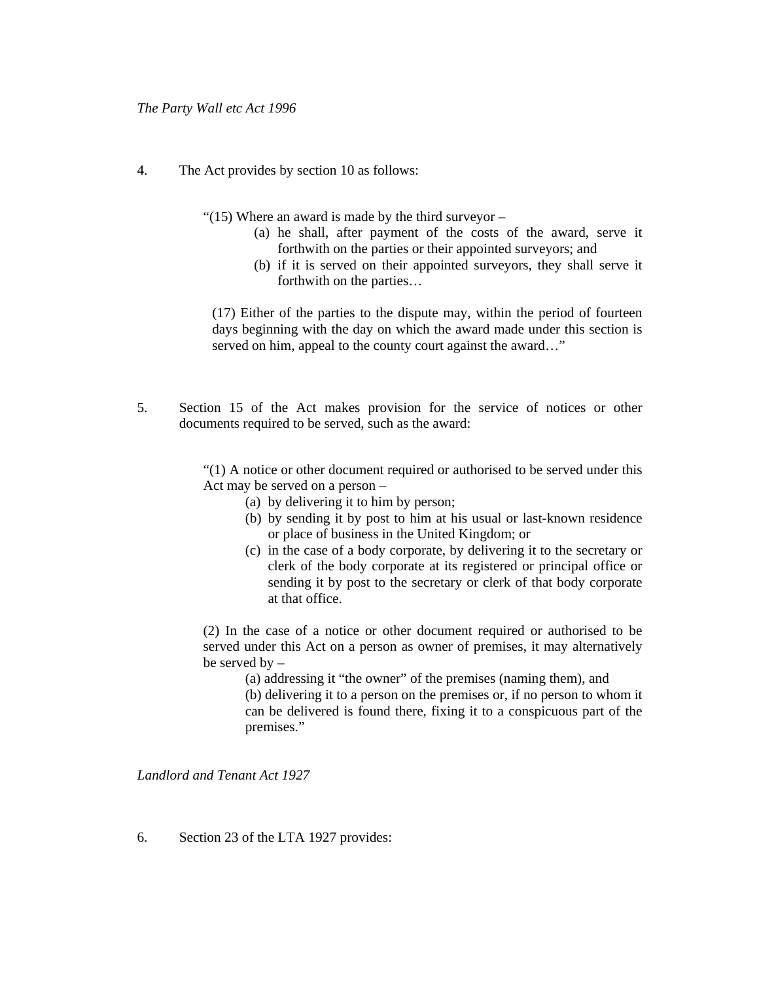4. The Act provides by section 10 as follows:

"(15) Where an award is made by the third surveyor  $-$ 

- (a) he shall, after payment of the costs of the award, serve it forthwith on the parties or their appointed surveyors; and
- (b) if it is served on their appointed surveyors, they shall serve it forthwith on the parties…

(17) Either of the parties to the dispute may, within the period of fourteen days beginning with the day on which the award made under this section is served on him, appeal to the county court against the award..."

5. Section 15 of the Act makes provision for the service of notices or other documents required to be served, such as the award:

> "(1) A notice or other document required or authorised to be served under this Act may be served on a person –

- (a) by delivering it to him by person;
- (b) by sending it by post to him at his usual or last-known residence or place of business in the United Kingdom; or
- (c) in the case of a body corporate, by delivering it to the secretary or clerk of the body corporate at its registered or principal office or sending it by post to the secretary or clerk of that body corporate at that office.

(2) In the case of a notice or other document required or authorised to be served under this Act on a person as owner of premises, it may alternatively be served by –

(a) addressing it "the owner" of the premises (naming them), and (b) delivering it to a person on the premises or, if no person to whom it can be delivered is found there, fixing it to a conspicuous part of the premises."

*Landlord and Tenant Act 1927* 

6. Section 23 of the LTA 1927 provides: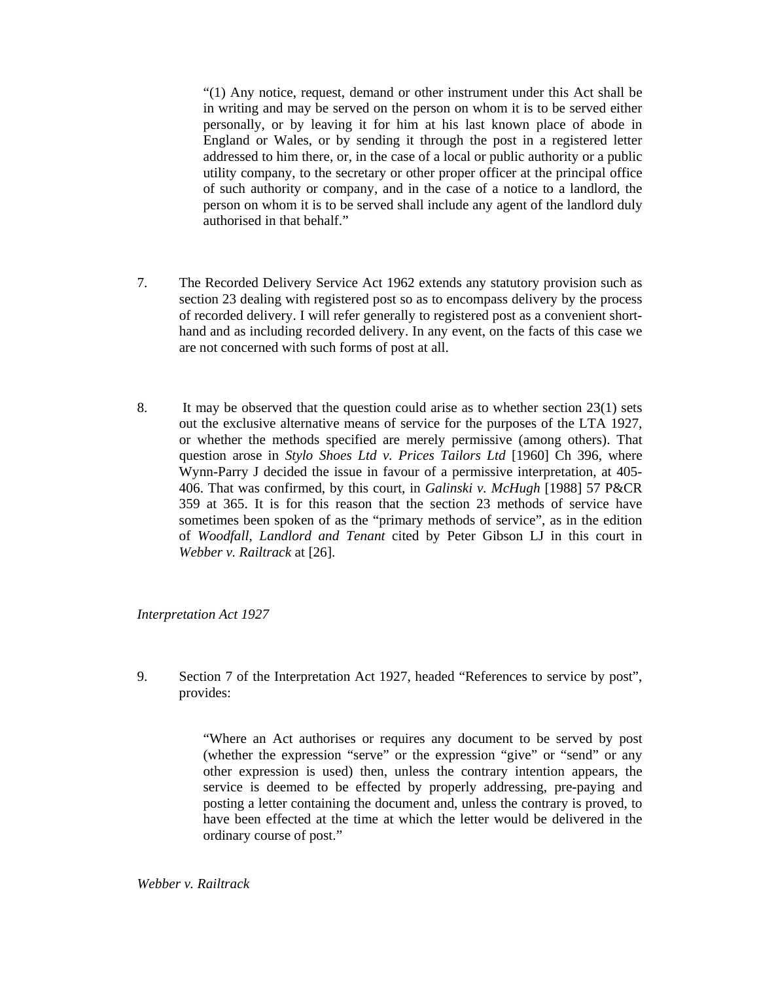"(1) Any notice, request, demand or other instrument under this Act shall be in writing and may be served on the person on whom it is to be served either personally, or by leaving it for him at his last known place of abode in England or Wales, or by sending it through the post in a registered letter addressed to him there, or, in the case of a local or public authority or a public utility company, to the secretary or other proper officer at the principal office of such authority or company, and in the case of a notice to a landlord, the person on whom it is to be served shall include any agent of the landlord duly authorised in that behalf."

- 7. The Recorded Delivery Service Act 1962 extends any statutory provision such as section 23 dealing with registered post so as to encompass delivery by the process of recorded delivery. I will refer generally to registered post as a convenient shorthand and as including recorded delivery. In any event, on the facts of this case we are not concerned with such forms of post at all.
- 8. It may be observed that the question could arise as to whether section 23(1) sets out the exclusive alternative means of service for the purposes of the LTA 1927, or whether the methods specified are merely permissive (among others). That question arose in *Stylo Shoes Ltd v. Prices Tailors Ltd* [1960] Ch 396, where Wynn-Parry J decided the issue in favour of a permissive interpretation, at 405- 406. That was confirmed, by this court, in *Galinski v. McHugh* [1988] 57 P&CR 359 at 365. It is for this reason that the section 23 methods of service have sometimes been spoken of as the "primary methods of service", as in the edition of *Woodfall*, *Landlord and Tenant* cited by Peter Gibson LJ in this court in *Webber v. Railtrack* at [26].

*Interpretation Act 1927* 

9. Section 7 of the Interpretation Act 1927, headed "References to service by post", provides:

> "Where an Act authorises or requires any document to be served by post (whether the expression "serve" or the expression "give" or "send" or any other expression is used) then, unless the contrary intention appears, the service is deemed to be effected by properly addressing, pre-paying and posting a letter containing the document and, unless the contrary is proved, to have been effected at the time at which the letter would be delivered in the ordinary course of post."

*Webber v. Railtrack*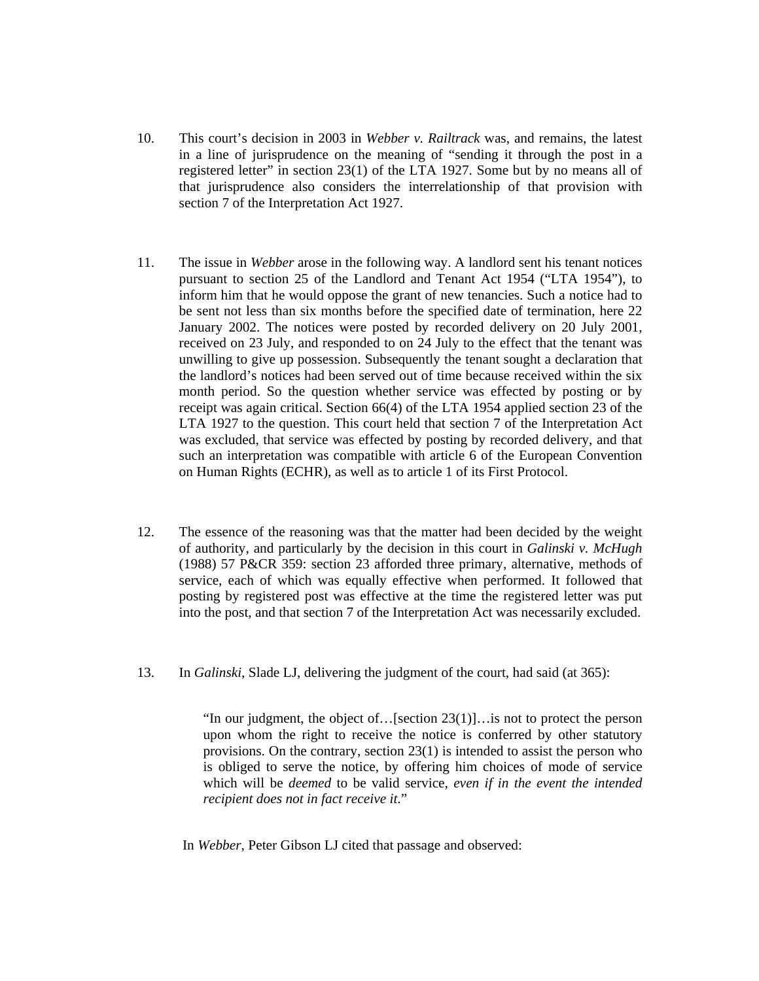- 10. This court's decision in 2003 in *Webber v. Railtrack* was, and remains, the latest in a line of jurisprudence on the meaning of "sending it through the post in a registered letter" in section 23(1) of the LTA 1927. Some but by no means all of that jurisprudence also considers the interrelationship of that provision with section 7 of the Interpretation Act 1927.
- 11. The issue in *Webber* arose in the following way. A landlord sent his tenant notices pursuant to section 25 of the Landlord and Tenant Act 1954 ("LTA 1954"), to inform him that he would oppose the grant of new tenancies. Such a notice had to be sent not less than six months before the specified date of termination, here 22 January 2002. The notices were posted by recorded delivery on 20 July 2001, received on 23 July, and responded to on 24 July to the effect that the tenant was unwilling to give up possession. Subsequently the tenant sought a declaration that the landlord's notices had been served out of time because received within the six month period. So the question whether service was effected by posting or by receipt was again critical. Section 66(4) of the LTA 1954 applied section 23 of the LTA 1927 to the question. This court held that section 7 of the Interpretation Act was excluded, that service was effected by posting by recorded delivery, and that such an interpretation was compatible with article 6 of the European Convention on Human Rights (ECHR), as well as to article 1 of its First Protocol.
- 12. The essence of the reasoning was that the matter had been decided by the weight of authority, and particularly by the decision in this court in *Galinski v. McHugh*  (1988) 57 P&CR 359: section 23 afforded three primary, alternative, methods of service, each of which was equally effective when performed. It followed that posting by registered post was effective at the time the registered letter was put into the post, and that section 7 of the Interpretation Act was necessarily excluded.
- 13. In *Galinski*, Slade LJ, delivering the judgment of the court, had said (at 365):

"In our judgment, the object of…[section 23(1)]…is not to protect the person upon whom the right to receive the notice is conferred by other statutory provisions. On the contrary, section 23(1) is intended to assist the person who is obliged to serve the notice, by offering him choices of mode of service which will be *deemed* to be valid service, *even if in the event the intended recipient does not in fact receive it*."

In *Webber*, Peter Gibson LJ cited that passage and observed: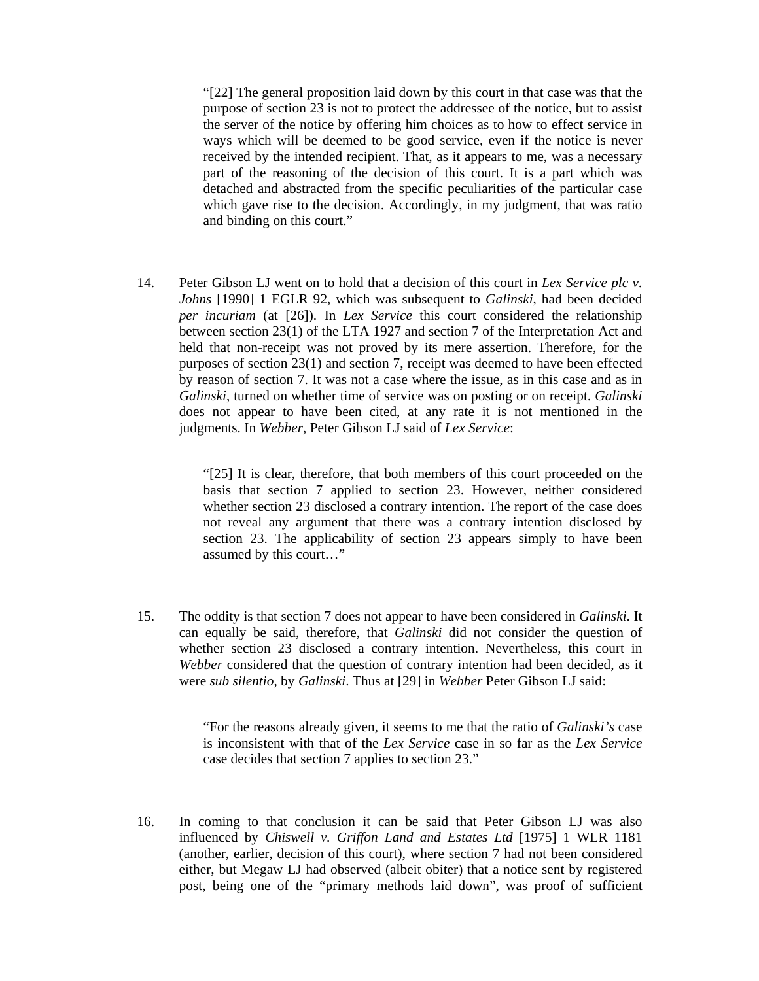"[22] The general proposition laid down by this court in that case was that the purpose of section 23 is not to protect the addressee of the notice, but to assist the server of the notice by offering him choices as to how to effect service in ways which will be deemed to be good service, even if the notice is never received by the intended recipient. That, as it appears to me, was a necessary part of the reasoning of the decision of this court. It is a part which was detached and abstracted from the specific peculiarities of the particular case which gave rise to the decision. Accordingly, in my judgment, that was ratio and binding on this court."

14. Peter Gibson LJ went on to hold that a decision of this court in *Lex Service plc v. Johns* [1990] 1 EGLR 92, which was subsequent to *Galinski*, had been decided *per incuriam* (at [26]). In *Lex Service* this court considered the relationship between section 23(1) of the LTA 1927 and section 7 of the Interpretation Act and held that non-receipt was not proved by its mere assertion. Therefore, for the purposes of section 23(1) and section 7, receipt was deemed to have been effected by reason of section 7. It was not a case where the issue, as in this case and as in *Galinski*, turned on whether time of service was on posting or on receipt. *Galinski*  does not appear to have been cited, at any rate it is not mentioned in the judgments. In *Webber*, Peter Gibson LJ said of *Lex Service*:

> "[25] It is clear, therefore, that both members of this court proceeded on the basis that section 7 applied to section 23. However, neither considered whether section 23 disclosed a contrary intention. The report of the case does not reveal any argument that there was a contrary intention disclosed by section 23. The applicability of section 23 appears simply to have been assumed by this court…"

15. The oddity is that section 7 does not appear to have been considered in *Galinski*. It can equally be said, therefore, that *Galinski* did not consider the question of whether section 23 disclosed a contrary intention. Nevertheless, this court in *Webber* considered that the question of contrary intention had been decided, as it were *sub silentio*, by *Galinski*. Thus at [29] in *Webber* Peter Gibson LJ said:

> "For the reasons already given, it seems to me that the ratio of *Galinski's* case is inconsistent with that of the *Lex Service* case in so far as the *Lex Service*  case decides that section 7 applies to section 23."

16. In coming to that conclusion it can be said that Peter Gibson LJ was also influenced by *Chiswell v. Griffon Land and Estates Ltd* [1975] 1 WLR 1181 (another, earlier, decision of this court), where section 7 had not been considered either, but Megaw LJ had observed (albeit obiter) that a notice sent by registered post, being one of the "primary methods laid down", was proof of sufficient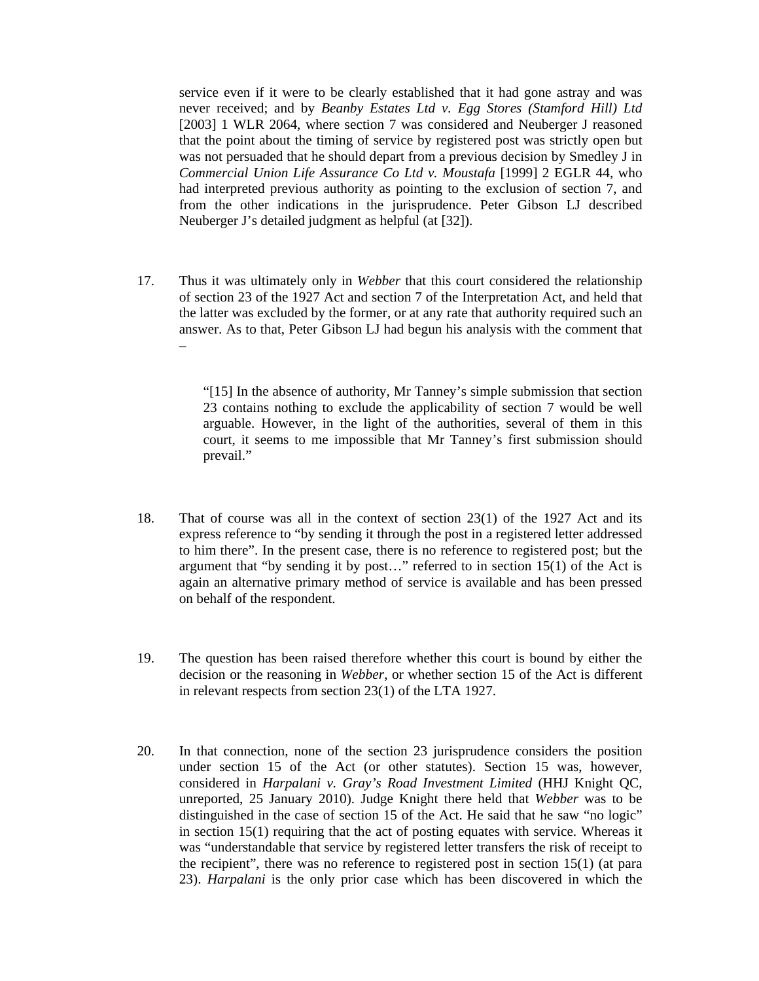service even if it were to be clearly established that it had gone astray and was never received; and by *Beanby Estates Ltd v. Egg Stores (Stamford Hill) Ltd*  [2003] 1 WLR 2064, where section 7 was considered and Neuberger J reasoned that the point about the timing of service by registered post was strictly open but was not persuaded that he should depart from a previous decision by Smedley J in *Commercial Union Life Assurance Co Ltd v. Moustafa* [1999] 2 EGLR 44, who had interpreted previous authority as pointing to the exclusion of section 7, and from the other indications in the jurisprudence. Peter Gibson LJ described Neuberger J's detailed judgment as helpful (at [32]).

17. Thus it was ultimately only in *Webber* that this court considered the relationship of section 23 of the 1927 Act and section 7 of the Interpretation Act, and held that the latter was excluded by the former, or at any rate that authority required such an answer. As to that, Peter Gibson LJ had begun his analysis with the comment that

–

"[15] In the absence of authority, Mr Tanney's simple submission that section 23 contains nothing to exclude the applicability of section 7 would be well arguable. However, in the light of the authorities, several of them in this court, it seems to me impossible that Mr Tanney's first submission should prevail."

- 18. That of course was all in the context of section 23(1) of the 1927 Act and its express reference to "by sending it through the post in a registered letter addressed to him there". In the present case, there is no reference to registered post; but the argument that "by sending it by post…" referred to in section 15(1) of the Act is again an alternative primary method of service is available and has been pressed on behalf of the respondent.
- 19. The question has been raised therefore whether this court is bound by either the decision or the reasoning in *Webber*, or whether section 15 of the Act is different in relevant respects from section 23(1) of the LTA 1927.
- 20. In that connection, none of the section 23 jurisprudence considers the position under section 15 of the Act (or other statutes). Section 15 was, however, considered in *Harpalani v. Gray's Road Investment Limited* (HHJ Knight QC, unreported, 25 January 2010). Judge Knight there held that *Webber* was to be distinguished in the case of section 15 of the Act. He said that he saw "no logic" in section 15(1) requiring that the act of posting equates with service. Whereas it was "understandable that service by registered letter transfers the risk of receipt to the recipient", there was no reference to registered post in section 15(1) (at para 23). *Harpalani* is the only prior case which has been discovered in which the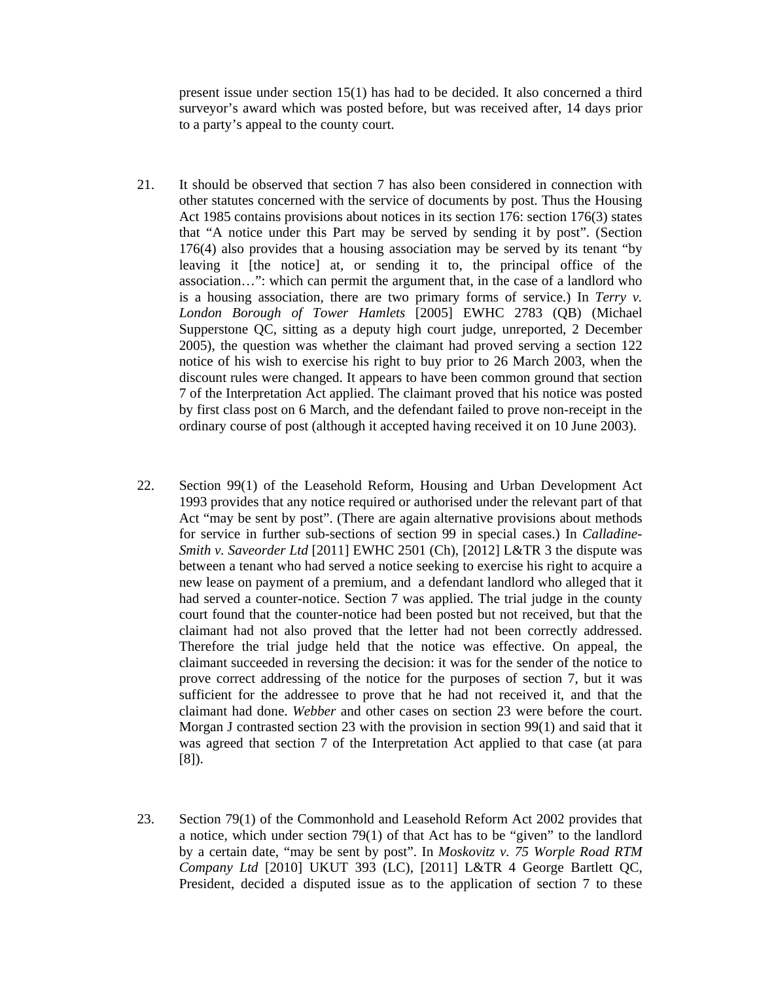present issue under section 15(1) has had to be decided. It also concerned a third surveyor's award which was posted before, but was received after, 14 days prior to a party's appeal to the county court.

- 21. It should be observed that section 7 has also been considered in connection with other statutes concerned with the service of documents by post. Thus the Housing Act 1985 contains provisions about notices in its section 176: section 176(3) states that "A notice under this Part may be served by sending it by post". (Section 176(4) also provides that a housing association may be served by its tenant "by leaving it [the notice] at, or sending it to, the principal office of the association…": which can permit the argument that, in the case of a landlord who is a housing association, there are two primary forms of service.) In *Terry v. London Borough of Tower Hamlets* [2005] EWHC 2783 (QB) (Michael Supperstone QC, sitting as a deputy high court judge, unreported, 2 December 2005), the question was whether the claimant had proved serving a section 122 notice of his wish to exercise his right to buy prior to 26 March 2003, when the discount rules were changed. It appears to have been common ground that section 7 of the Interpretation Act applied. The claimant proved that his notice was posted by first class post on 6 March, and the defendant failed to prove non-receipt in the ordinary course of post (although it accepted having received it on 10 June 2003).
- 22. Section 99(1) of the Leasehold Reform, Housing and Urban Development Act 1993 provides that any notice required or authorised under the relevant part of that Act "may be sent by post". (There are again alternative provisions about methods for service in further sub-sections of section 99 in special cases.) In *Calladine-Smith v. Saveorder Ltd* [2011] EWHC 2501 (Ch), [2012] L&TR 3 the dispute was between a tenant who had served a notice seeking to exercise his right to acquire a new lease on payment of a premium, and a defendant landlord who alleged that it had served a counter-notice. Section 7 was applied. The trial judge in the county court found that the counter-notice had been posted but not received, but that the claimant had not also proved that the letter had not been correctly addressed. Therefore the trial judge held that the notice was effective. On appeal, the claimant succeeded in reversing the decision: it was for the sender of the notice to prove correct addressing of the notice for the purposes of section 7, but it was sufficient for the addressee to prove that he had not received it, and that the claimant had done. *Webber* and other cases on section 23 were before the court. Morgan J contrasted section 23 with the provision in section 99(1) and said that it was agreed that section 7 of the Interpretation Act applied to that case (at para [8]).
- 23. Section 79(1) of the Commonhold and Leasehold Reform Act 2002 provides that a notice, which under section 79(1) of that Act has to be "given" to the landlord by a certain date, "may be sent by post". In *Moskovitz v. 75 Worple Road RTM Company Ltd* [2010] UKUT 393 (LC), [2011] L&TR 4 George Bartlett QC, President, decided a disputed issue as to the application of section 7 to these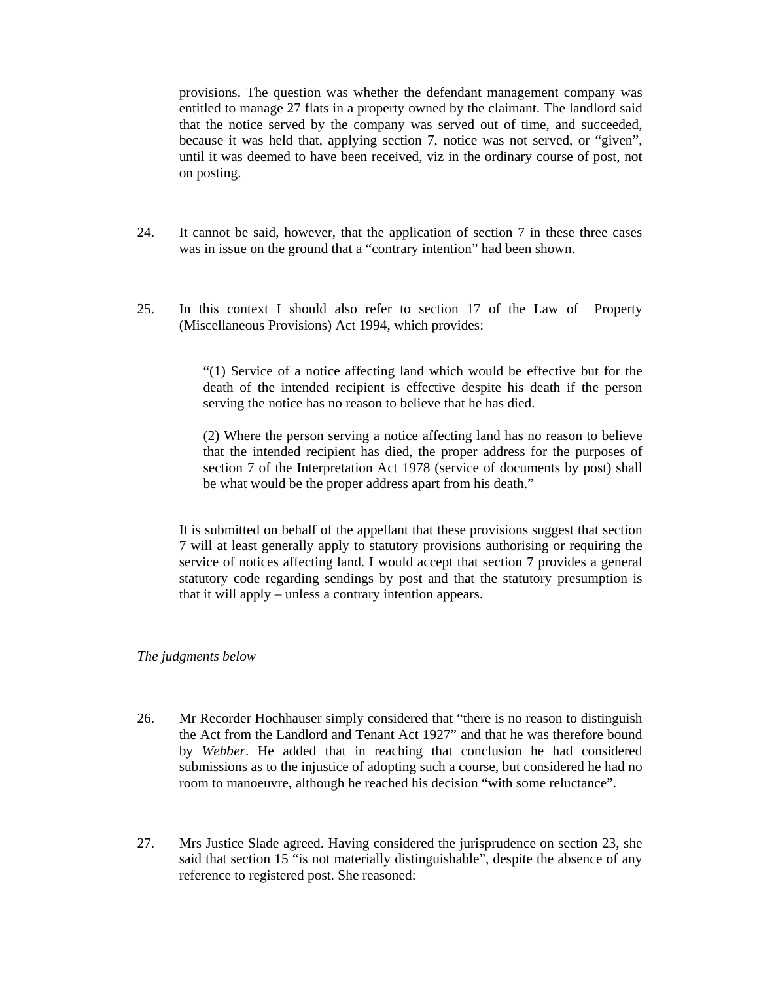provisions. The question was whether the defendant management company was entitled to manage 27 flats in a property owned by the claimant. The landlord said that the notice served by the company was served out of time, and succeeded, because it was held that, applying section 7, notice was not served, or "given", until it was deemed to have been received, viz in the ordinary course of post, not on posting.

- 24. It cannot be said, however, that the application of section 7 in these three cases was in issue on the ground that a "contrary intention" had been shown.
- 25. In this context I should also refer to section 17 of the Law of Property (Miscellaneous Provisions) Act 1994, which provides:

"(1) Service of a notice affecting land which would be effective but for the death of the intended recipient is effective despite his death if the person serving the notice has no reason to believe that he has died.

(2) Where the person serving a notice affecting land has no reason to believe that the intended recipient has died, the proper address for the purposes of section 7 of the Interpretation Act 1978 (service of documents by post) shall be what would be the proper address apart from his death."

It is submitted on behalf of the appellant that these provisions suggest that section 7 will at least generally apply to statutory provisions authorising or requiring the service of notices affecting land. I would accept that section 7 provides a general statutory code regarding sendings by post and that the statutory presumption is that it will apply – unless a contrary intention appears.

#### *The judgments below*

- 26. Mr Recorder Hochhauser simply considered that "there is no reason to distinguish the Act from the Landlord and Tenant Act 1927" and that he was therefore bound by *Webber*. He added that in reaching that conclusion he had considered submissions as to the injustice of adopting such a course, but considered he had no room to manoeuvre, although he reached his decision "with some reluctance".
- 27. Mrs Justice Slade agreed. Having considered the jurisprudence on section 23, she said that section 15 "is not materially distinguishable", despite the absence of any reference to registered post. She reasoned: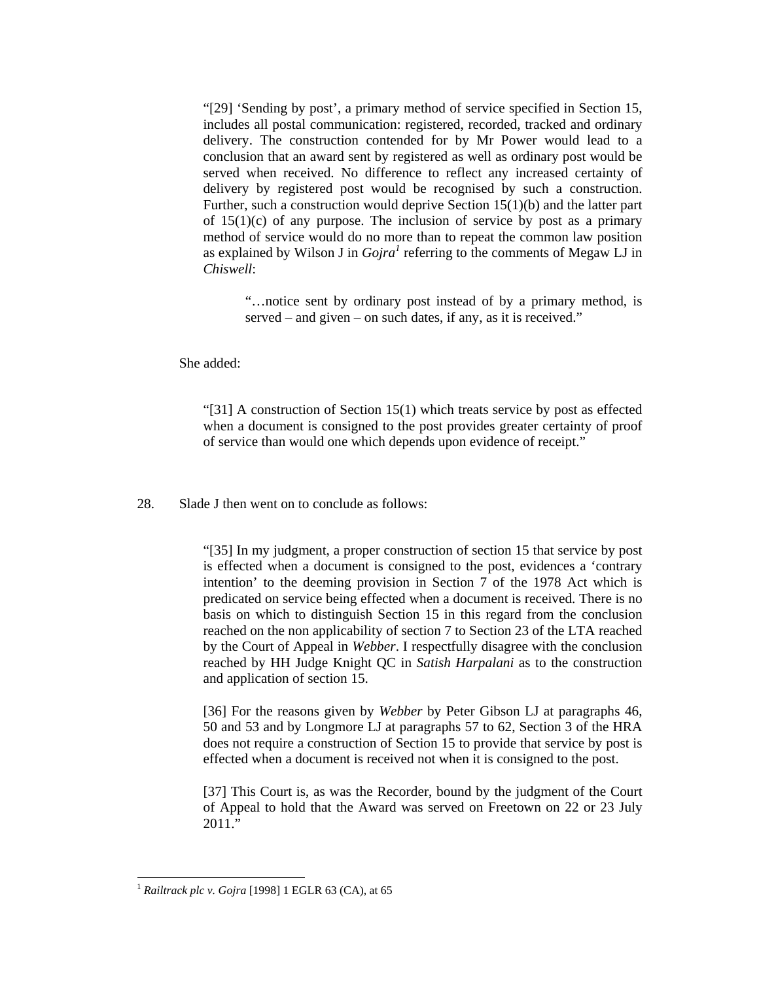"[29] 'Sending by post', a primary method of service specified in Section 15, includes all postal communication: registered, recorded, tracked and ordinary delivery. The construction contended for by Mr Power would lead to a conclusion that an award sent by registered as well as ordinary post would be served when received. No difference to reflect any increased certainty of delivery by registered post would be recognised by such a construction. Further, such a construction would deprive Section 15(1)(b) and the latter part of  $15(1)(c)$  of any purpose. The inclusion of service by post as a primary method of service would do no more than to repeat the common law position as explained by Wilson J in  $Gojra<sup>1</sup>$  referring to the comments of Megaw LJ in *Chiswell*:

"…notice sent by ordinary post instead of by a primary method, is served – and given – on such dates, if any, as it is received."

She added:

"[31] A construction of Section 15(1) which treats service by post as effected when a document is consigned to the post provides greater certainty of proof of service than would one which depends upon evidence of receipt."

28. Slade J then went on to conclude as follows:

"[35] In my judgment, a proper construction of section 15 that service by post is effected when a document is consigned to the post, evidences a 'contrary intention' to the deeming provision in Section 7 of the 1978 Act which is predicated on service being effected when a document is received. There is no basis on which to distinguish Section 15 in this regard from the conclusion reached on the non applicability of section 7 to Section 23 of the LTA reached by the Court of Appeal in *Webber*. I respectfully disagree with the conclusion reached by HH Judge Knight QC in *Satish Harpalani* as to the construction and application of section 15.

[36] For the reasons given by *Webber* by Peter Gibson LJ at paragraphs 46, 50 and 53 and by Longmore LJ at paragraphs 57 to 62, Section 3 of the HRA does not require a construction of Section 15 to provide that service by post is effected when a document is received not when it is consigned to the post.

[37] This Court is, as was the Recorder, bound by the judgment of the Court of Appeal to hold that the Award was served on Freetown on 22 or 23 July 2011."

l

<sup>1</sup> *Railtrack plc v. Gojra* [1998] 1 EGLR 63 (CA), at 65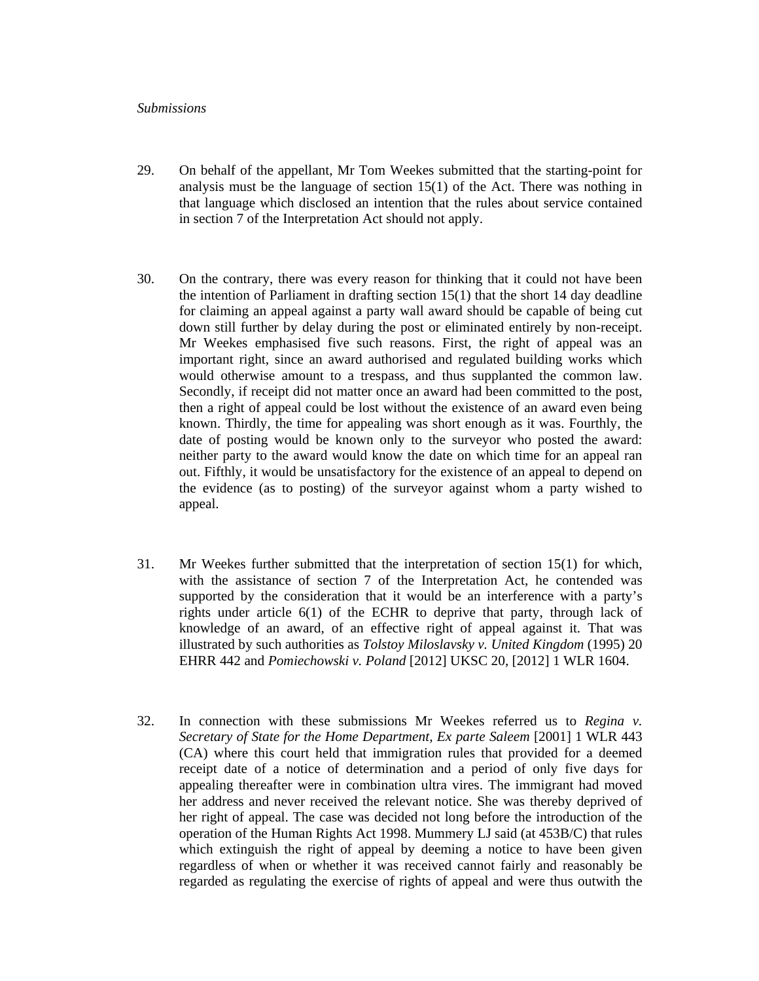### *Submissions*

- 29. On behalf of the appellant, Mr Tom Weekes submitted that the starting-point for analysis must be the language of section 15(1) of the Act. There was nothing in that language which disclosed an intention that the rules about service contained in section 7 of the Interpretation Act should not apply.
- 30. On the contrary, there was every reason for thinking that it could not have been the intention of Parliament in drafting section  $15(1)$  that the short 14 day deadline for claiming an appeal against a party wall award should be capable of being cut down still further by delay during the post or eliminated entirely by non-receipt. Mr Weekes emphasised five such reasons. First, the right of appeal was an important right, since an award authorised and regulated building works which would otherwise amount to a trespass, and thus supplanted the common law. Secondly, if receipt did not matter once an award had been committed to the post, then a right of appeal could be lost without the existence of an award even being known. Thirdly, the time for appealing was short enough as it was. Fourthly, the date of posting would be known only to the surveyor who posted the award: neither party to the award would know the date on which time for an appeal ran out. Fifthly, it would be unsatisfactory for the existence of an appeal to depend on the evidence (as to posting) of the surveyor against whom a party wished to appeal.
- 31. Mr Weekes further submitted that the interpretation of section 15(1) for which, with the assistance of section 7 of the Interpretation Act, he contended was supported by the consideration that it would be an interference with a party's rights under article 6(1) of the ECHR to deprive that party, through lack of knowledge of an award, of an effective right of appeal against it. That was illustrated by such authorities as *Tolstoy Miloslavsky v. United Kingdom* (1995) 20 EHRR 442 and *Pomiechowski v. Poland* [2012] UKSC 20, [2012] 1 WLR 1604.
- 32. In connection with these submissions Mr Weekes referred us to *Regina v. Secretary of State for the Home Department, Ex parte Saleem* [2001] 1 WLR 443 (CA) where this court held that immigration rules that provided for a deemed receipt date of a notice of determination and a period of only five days for appealing thereafter were in combination ultra vires. The immigrant had moved her address and never received the relevant notice. She was thereby deprived of her right of appeal. The case was decided not long before the introduction of the operation of the Human Rights Act 1998. Mummery LJ said (at 453B/C) that rules which extinguish the right of appeal by deeming a notice to have been given regardless of when or whether it was received cannot fairly and reasonably be regarded as regulating the exercise of rights of appeal and were thus outwith the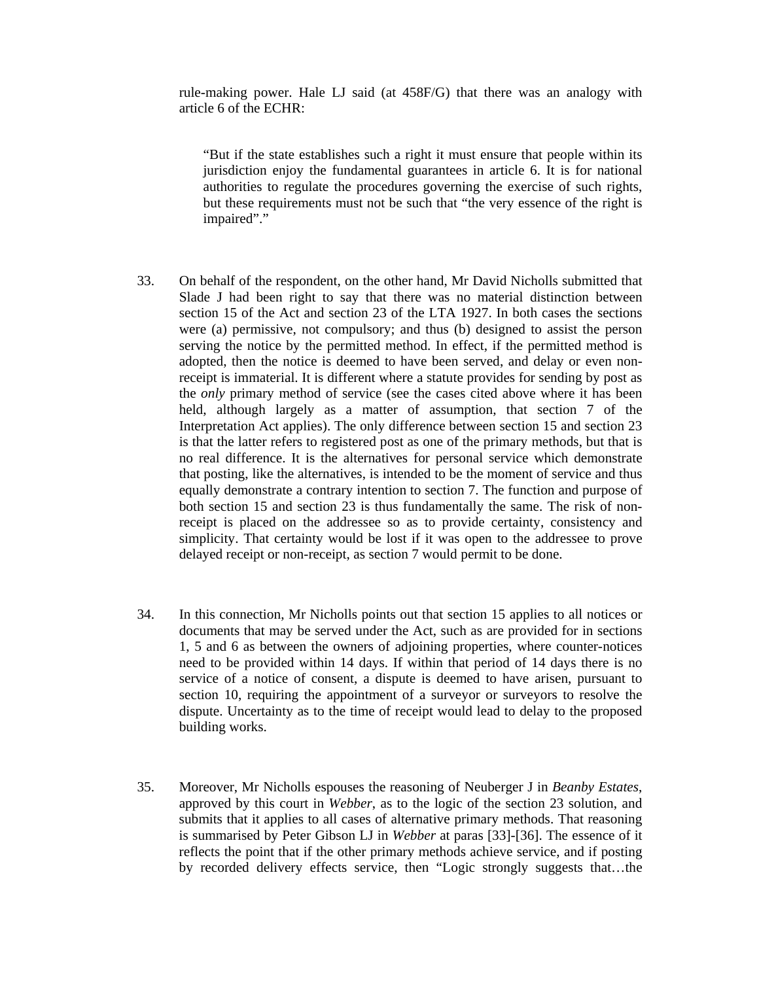rule-making power. Hale LJ said (at 458F/G) that there was an analogy with article 6 of the ECHR:

"But if the state establishes such a right it must ensure that people within its jurisdiction enjoy the fundamental guarantees in article 6. It is for national authorities to regulate the procedures governing the exercise of such rights, but these requirements must not be such that "the very essence of the right is impaired"."

- 33. On behalf of the respondent, on the other hand, Mr David Nicholls submitted that Slade J had been right to say that there was no material distinction between section 15 of the Act and section 23 of the LTA 1927. In both cases the sections were (a) permissive, not compulsory; and thus (b) designed to assist the person serving the notice by the permitted method. In effect, if the permitted method is adopted, then the notice is deemed to have been served, and delay or even nonreceipt is immaterial. It is different where a statute provides for sending by post as the *only* primary method of service (see the cases cited above where it has been held, although largely as a matter of assumption, that section 7 of the Interpretation Act applies). The only difference between section 15 and section 23 is that the latter refers to registered post as one of the primary methods, but that is no real difference. It is the alternatives for personal service which demonstrate that posting, like the alternatives, is intended to be the moment of service and thus equally demonstrate a contrary intention to section 7. The function and purpose of both section 15 and section 23 is thus fundamentally the same. The risk of nonreceipt is placed on the addressee so as to provide certainty, consistency and simplicity. That certainty would be lost if it was open to the addressee to prove delayed receipt or non-receipt, as section 7 would permit to be done.
- 34. In this connection, Mr Nicholls points out that section 15 applies to all notices or documents that may be served under the Act, such as are provided for in sections 1, 5 and 6 as between the owners of adjoining properties, where counter-notices need to be provided within 14 days. If within that period of 14 days there is no service of a notice of consent, a dispute is deemed to have arisen, pursuant to section 10, requiring the appointment of a surveyor or surveyors to resolve the dispute. Uncertainty as to the time of receipt would lead to delay to the proposed building works.
- 35. Moreover, Mr Nicholls espouses the reasoning of Neuberger J in *Beanby Estates*, approved by this court in *Webber*, as to the logic of the section 23 solution, and submits that it applies to all cases of alternative primary methods. That reasoning is summarised by Peter Gibson LJ in *Webber* at paras [33]-[36]. The essence of it reflects the point that if the other primary methods achieve service, and if posting by recorded delivery effects service, then "Logic strongly suggests that…the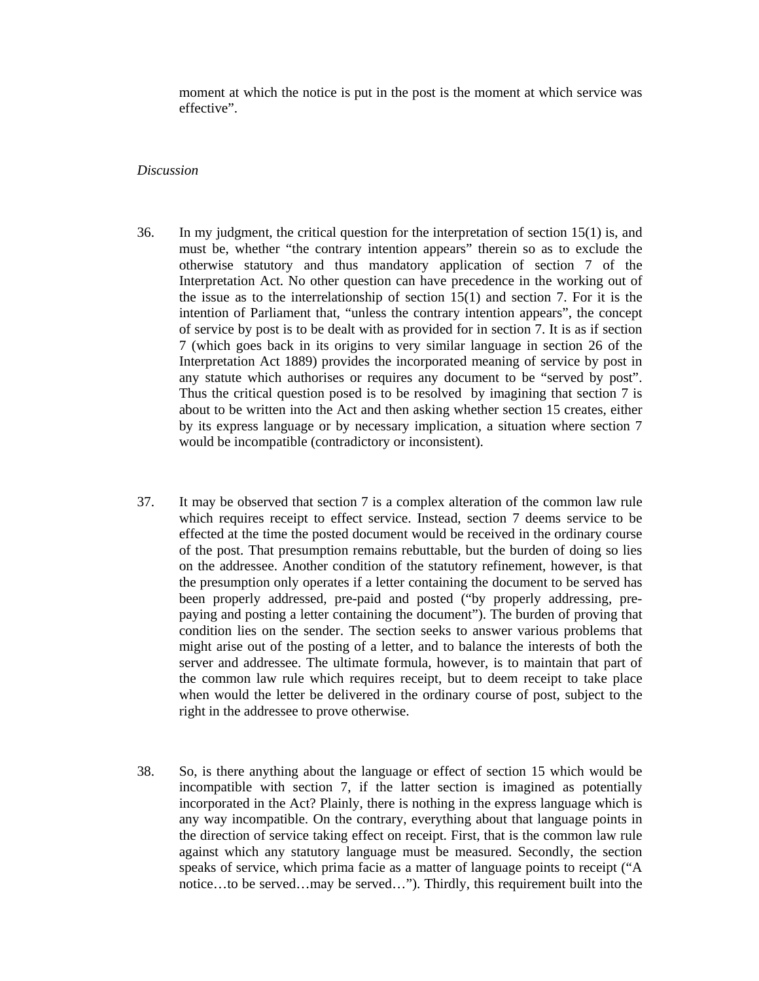moment at which the notice is put in the post is the moment at which service was effective".

### *Discussion*

- 36. In my judgment, the critical question for the interpretation of section 15(1) is, and must be, whether "the contrary intention appears" therein so as to exclude the otherwise statutory and thus mandatory application of section 7 of the Interpretation Act. No other question can have precedence in the working out of the issue as to the interrelationship of section 15(1) and section 7. For it is the intention of Parliament that, "unless the contrary intention appears", the concept of service by post is to be dealt with as provided for in section 7. It is as if section 7 (which goes back in its origins to very similar language in section 26 of the Interpretation Act 1889) provides the incorporated meaning of service by post in any statute which authorises or requires any document to be "served by post". Thus the critical question posed is to be resolved by imagining that section 7 is about to be written into the Act and then asking whether section 15 creates, either by its express language or by necessary implication, a situation where section 7 would be incompatible (contradictory or inconsistent).
- 37. It may be observed that section 7 is a complex alteration of the common law rule which requires receipt to effect service. Instead, section 7 deems service to be effected at the time the posted document would be received in the ordinary course of the post. That presumption remains rebuttable, but the burden of doing so lies on the addressee. Another condition of the statutory refinement, however, is that the presumption only operates if a letter containing the document to be served has been properly addressed, pre-paid and posted ("by properly addressing, prepaying and posting a letter containing the document"). The burden of proving that condition lies on the sender. The section seeks to answer various problems that might arise out of the posting of a letter, and to balance the interests of both the server and addressee. The ultimate formula, however, is to maintain that part of the common law rule which requires receipt, but to deem receipt to take place when would the letter be delivered in the ordinary course of post, subject to the right in the addressee to prove otherwise.
- 38. So, is there anything about the language or effect of section 15 which would be incompatible with section 7, if the latter section is imagined as potentially incorporated in the Act? Plainly, there is nothing in the express language which is any way incompatible. On the contrary, everything about that language points in the direction of service taking effect on receipt. First, that is the common law rule against which any statutory language must be measured. Secondly, the section speaks of service, which prima facie as a matter of language points to receipt ("A notice…to be served…may be served…"). Thirdly, this requirement built into the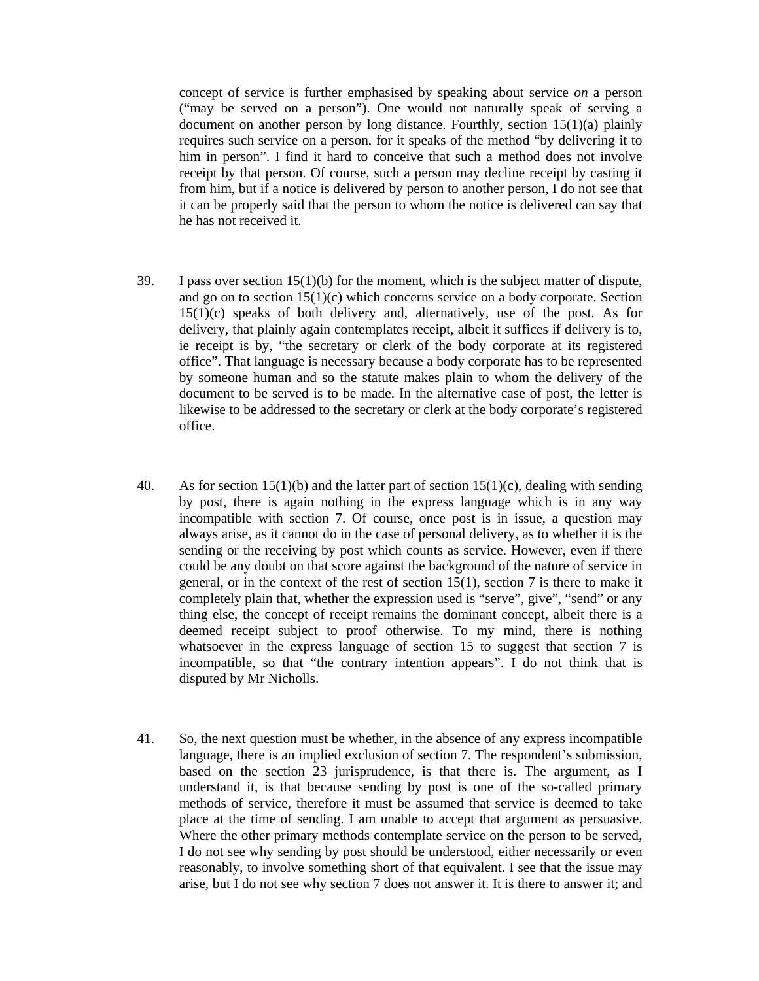concept of service is further emphasised by speaking about service *on* a person ("may be served on a person"). One would not naturally speak of serving a document on another person by long distance. Fourthly, section 15(1)(a) plainly requires such service on a person, for it speaks of the method "by delivering it to him in person". I find it hard to conceive that such a method does not involve receipt by that person. Of course, such a person may decline receipt by casting it from him, but if a notice is delivered by person to another person, I do not see that it can be properly said that the person to whom the notice is delivered can say that he has not received it.

- 39. I pass over section  $15(1)(b)$  for the moment, which is the subject matter of dispute, and go on to section 15(1)(c) which concerns service on a body corporate. Section  $15(1)(c)$  speaks of both delivery and, alternatively, use of the post. As for delivery, that plainly again contemplates receipt, albeit it suffices if delivery is to, ie receipt is by, "the secretary or clerk of the body corporate at its registered office". That language is necessary because a body corporate has to be represented by someone human and so the statute makes plain to whom the delivery of the document to be served is to be made. In the alternative case of post, the letter is likewise to be addressed to the secretary or clerk at the body corporate's registered office.
- 40. As for section  $15(1)(b)$  and the latter part of section  $15(1)(c)$ , dealing with sending by post, there is again nothing in the express language which is in any way incompatible with section 7. Of course, once post is in issue, a question may always arise, as it cannot do in the case of personal delivery, as to whether it is the sending or the receiving by post which counts as service. However, even if there could be any doubt on that score against the background of the nature of service in general, or in the context of the rest of section 15(1), section 7 is there to make it completely plain that, whether the expression used is "serve", give", "send" or any thing else, the concept of receipt remains the dominant concept, albeit there is a deemed receipt subject to proof otherwise. To my mind, there is nothing whatsoever in the express language of section 15 to suggest that section 7 is incompatible, so that "the contrary intention appears". I do not think that is disputed by Mr Nicholls.
- 41. So, the next question must be whether, in the absence of any express incompatible language, there is an implied exclusion of section 7. The respondent's submission, based on the section 23 jurisprudence, is that there is. The argument, as I understand it, is that because sending by post is one of the so-called primary methods of service, therefore it must be assumed that service is deemed to take place at the time of sending. I am unable to accept that argument as persuasive. Where the other primary methods contemplate service on the person to be served, I do not see why sending by post should be understood, either necessarily or even reasonably, to involve something short of that equivalent. I see that the issue may arise, but I do not see why section 7 does not answer it. It is there to answer it; and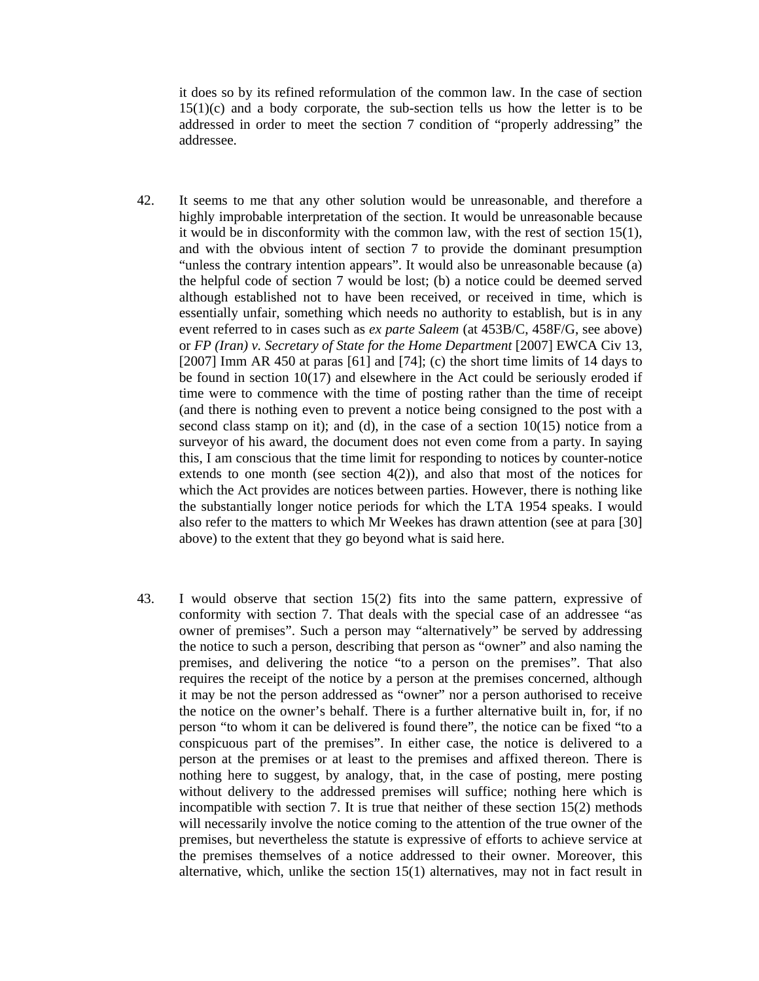it does so by its refined reformulation of the common law. In the case of section  $15(1)(c)$  and a body corporate, the sub-section tells us how the letter is to be addressed in order to meet the section 7 condition of "properly addressing" the addressee.

- 42. It seems to me that any other solution would be unreasonable, and therefore a highly improbable interpretation of the section. It would be unreasonable because it would be in disconformity with the common law, with the rest of section 15(1), and with the obvious intent of section 7 to provide the dominant presumption "unless the contrary intention appears". It would also be unreasonable because (a) the helpful code of section 7 would be lost; (b) a notice could be deemed served although established not to have been received, or received in time, which is essentially unfair, something which needs no authority to establish, but is in any event referred to in cases such as *ex parte Saleem* (at 453B/C, 458F/G, see above) or *FP (Iran) v. Secretary of State for the Home Department* [2007] EWCA Civ 13,  $[2007]$  Imm AR 450 at paras  $[61]$  and  $[74]$ ; (c) the short time limits of 14 days to be found in section 10(17) and elsewhere in the Act could be seriously eroded if time were to commence with the time of posting rather than the time of receipt (and there is nothing even to prevent a notice being consigned to the post with a second class stamp on it); and (d), in the case of a section  $10(15)$  notice from a surveyor of his award, the document does not even come from a party. In saying this, I am conscious that the time limit for responding to notices by counter-notice extends to one month (see section  $4(2)$ ), and also that most of the notices for which the Act provides are notices between parties. However, there is nothing like the substantially longer notice periods for which the LTA 1954 speaks. I would also refer to the matters to which Mr Weekes has drawn attention (see at para [30] above) to the extent that they go beyond what is said here.
- 43. I would observe that section 15(2) fits into the same pattern, expressive of conformity with section 7. That deals with the special case of an addressee "as owner of premises". Such a person may "alternatively" be served by addressing the notice to such a person, describing that person as "owner" and also naming the premises, and delivering the notice "to a person on the premises". That also requires the receipt of the notice by a person at the premises concerned, although it may be not the person addressed as "owner" nor a person authorised to receive the notice on the owner's behalf. There is a further alternative built in, for, if no person "to whom it can be delivered is found there", the notice can be fixed "to a conspicuous part of the premises". In either case, the notice is delivered to a person at the premises or at least to the premises and affixed thereon. There is nothing here to suggest, by analogy, that, in the case of posting, mere posting without delivery to the addressed premises will suffice; nothing here which is incompatible with section 7. It is true that neither of these section 15(2) methods will necessarily involve the notice coming to the attention of the true owner of the premises, but nevertheless the statute is expressive of efforts to achieve service at the premises themselves of a notice addressed to their owner. Moreover, this alternative, which, unlike the section 15(1) alternatives, may not in fact result in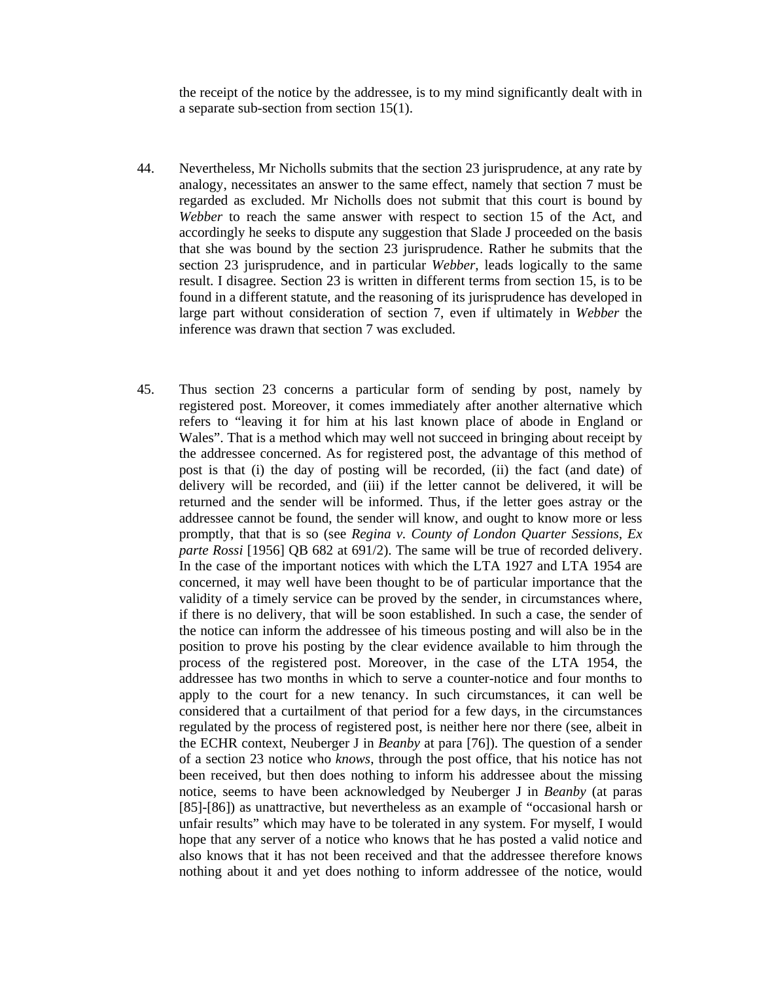the receipt of the notice by the addressee, is to my mind significantly dealt with in a separate sub-section from section 15(1).

- 44. Nevertheless, Mr Nicholls submits that the section 23 jurisprudence, at any rate by analogy, necessitates an answer to the same effect, namely that section 7 must be regarded as excluded. Mr Nicholls does not submit that this court is bound by *Webber* to reach the same answer with respect to section 15 of the Act, and accordingly he seeks to dispute any suggestion that Slade J proceeded on the basis that she was bound by the section 23 jurisprudence. Rather he submits that the section 23 jurisprudence, and in particular *Webber*, leads logically to the same result. I disagree. Section 23 is written in different terms from section 15, is to be found in a different statute, and the reasoning of its jurisprudence has developed in large part without consideration of section 7, even if ultimately in *Webber* the inference was drawn that section 7 was excluded.
- 45. Thus section 23 concerns a particular form of sending by post, namely by registered post. Moreover, it comes immediately after another alternative which refers to "leaving it for him at his last known place of abode in England or Wales". That is a method which may well not succeed in bringing about receipt by the addressee concerned. As for registered post, the advantage of this method of post is that (i) the day of posting will be recorded, (ii) the fact (and date) of delivery will be recorded, and (iii) if the letter cannot be delivered, it will be returned and the sender will be informed. Thus, if the letter goes astray or the addressee cannot be found, the sender will know, and ought to know more or less promptly, that that is so (see *Regina v. County of London Quarter Sessions, Ex parte Rossi* [1956] QB 682 at 691/2). The same will be true of recorded delivery. In the case of the important notices with which the LTA 1927 and LTA 1954 are concerned, it may well have been thought to be of particular importance that the validity of a timely service can be proved by the sender, in circumstances where, if there is no delivery, that will be soon established. In such a case, the sender of the notice can inform the addressee of his timeous posting and will also be in the position to prove his posting by the clear evidence available to him through the process of the registered post. Moreover, in the case of the LTA 1954, the addressee has two months in which to serve a counter-notice and four months to apply to the court for a new tenancy. In such circumstances, it can well be considered that a curtailment of that period for a few days, in the circumstances regulated by the process of registered post, is neither here nor there (see, albeit in the ECHR context, Neuberger J in *Beanby* at para [76]). The question of a sender of a section 23 notice who *knows*, through the post office, that his notice has not been received, but then does nothing to inform his addressee about the missing notice, seems to have been acknowledged by Neuberger J in *Beanby* (at paras [85]-[86]) as unattractive, but nevertheless as an example of "occasional harsh or unfair results" which may have to be tolerated in any system. For myself, I would hope that any server of a notice who knows that he has posted a valid notice and also knows that it has not been received and that the addressee therefore knows nothing about it and yet does nothing to inform addressee of the notice, would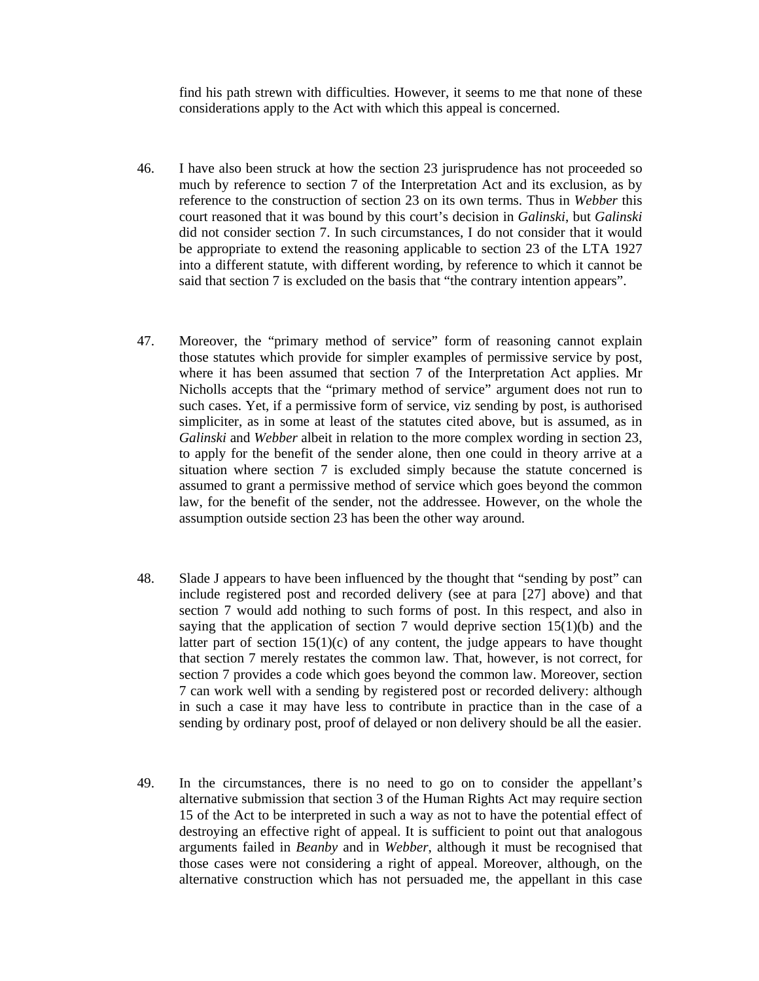find his path strewn with difficulties. However, it seems to me that none of these considerations apply to the Act with which this appeal is concerned.

- 46. I have also been struck at how the section 23 jurisprudence has not proceeded so much by reference to section 7 of the Interpretation Act and its exclusion, as by reference to the construction of section 23 on its own terms. Thus in *Webber* this court reasoned that it was bound by this court's decision in *Galinski*, but *Galinski*  did not consider section 7. In such circumstances, I do not consider that it would be appropriate to extend the reasoning applicable to section 23 of the LTA 1927 into a different statute, with different wording, by reference to which it cannot be said that section 7 is excluded on the basis that "the contrary intention appears".
- 47. Moreover, the "primary method of service" form of reasoning cannot explain those statutes which provide for simpler examples of permissive service by post, where it has been assumed that section 7 of the Interpretation Act applies. Mr Nicholls accepts that the "primary method of service" argument does not run to such cases. Yet, if a permissive form of service, viz sending by post, is authorised simpliciter, as in some at least of the statutes cited above, but is assumed, as in *Galinski* and *Webber* albeit in relation to the more complex wording in section 23, to apply for the benefit of the sender alone, then one could in theory arrive at a situation where section 7 is excluded simply because the statute concerned is assumed to grant a permissive method of service which goes beyond the common law, for the benefit of the sender, not the addressee. However, on the whole the assumption outside section 23 has been the other way around.
- 48. Slade J appears to have been influenced by the thought that "sending by post" can include registered post and recorded delivery (see at para [27] above) and that section 7 would add nothing to such forms of post. In this respect, and also in saying that the application of section 7 would deprive section  $15(1)(b)$  and the latter part of section  $15(1)(c)$  of any content, the judge appears to have thought that section 7 merely restates the common law. That, however, is not correct, for section 7 provides a code which goes beyond the common law. Moreover, section 7 can work well with a sending by registered post or recorded delivery: although in such a case it may have less to contribute in practice than in the case of a sending by ordinary post, proof of delayed or non delivery should be all the easier.
- 49. In the circumstances, there is no need to go on to consider the appellant's alternative submission that section 3 of the Human Rights Act may require section 15 of the Act to be interpreted in such a way as not to have the potential effect of destroying an effective right of appeal. It is sufficient to point out that analogous arguments failed in *Beanby* and in *Webber*, although it must be recognised that those cases were not considering a right of appeal. Moreover, although, on the alternative construction which has not persuaded me, the appellant in this case